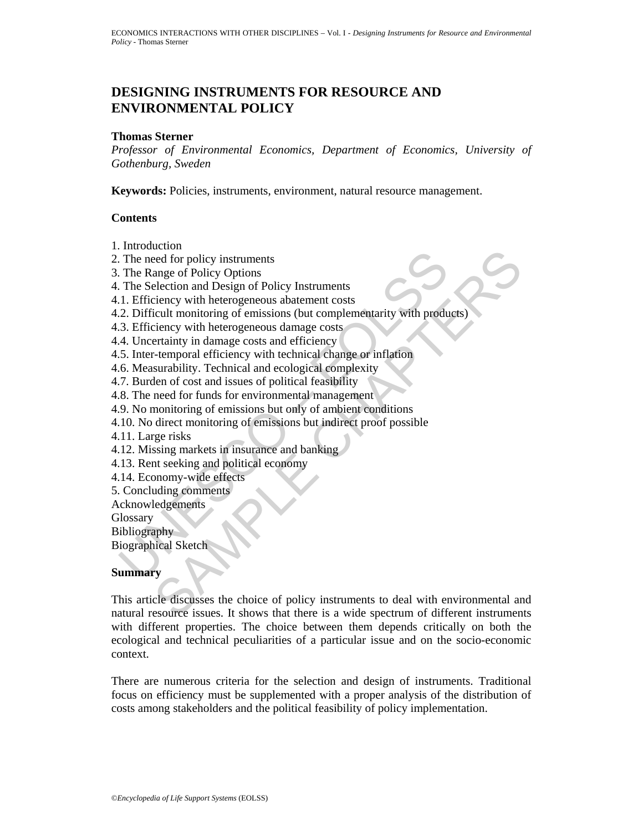## **DESIGNING INSTRUMENTS FOR RESOURCE AND ENVIRONMENTAL POLICY**

#### **Thomas Sterner**

*Professor of Environmental Economics, Department of Economics, University of Gothenburg, Sweden* 

**Keywords:** Policies, instruments, environment, natural resource management.

#### **Contents**

- 1. Introduction
- 2. The need for policy instruments
- 3. The Range of Policy Options
- 4. The Selection and Design of Policy Instruments
- 4.1. Efficiency with heterogeneous abatement costs
- The need for policy instruments<br>
The Range of Policy Options<br>
The Range of Policy Options<br>
The Selection and Design of Policy Instruments<br>
1. Efficiency with heterogeneous abatement costs<br>
2. Difficult monitoring of emissi 4.2. Difficult monitoring of emissions (but complementarity with products)
- 4.3. Efficiency with heterogeneous damage costs
- 4.4. Uncertainty in damage costs and efficiency
- 4.5. Inter-temporal efficiency with technical change or inflation
- 4.6. Measurability. Technical and ecological complexity
- 4.7. Burden of cost and issues of political feasibility
- 4.8. The need for funds for environmental management
- 4.9. No monitoring of emissions but only of ambient conditions
- 4.10. No direct monitoring of emissions but indirect proof possible
- 4.11. Large risks
- 4.12. Missing markets in insurance and banking
- 4.13. Rent seeking and political economy
- 4.14. Economy-wide effects
- 5. Concluding comments

Acknowledgements

**Glossary** 

Bibliography

Biographical Sketch

## **Summary**

exaction<br>earl for policy instruments<br>electron and Design of Policy Instruments<br>cience and Hosign of Policy Instruments<br>ciency with heterogeneous abatement costs<br>ciency with the respections (but complementarity with product This article discusses the choice of policy instruments to deal with environmental and natural resource issues. It shows that there is a wide spectrum of different instruments with different properties. The choice between them depends critically on both the ecological and technical peculiarities of a particular issue and on the socio-economic context.

There are numerous criteria for the selection and design of instruments. Traditional focus on efficiency must be supplemented with a proper analysis of the distribution of costs among stakeholders and the political feasibility of policy implementation.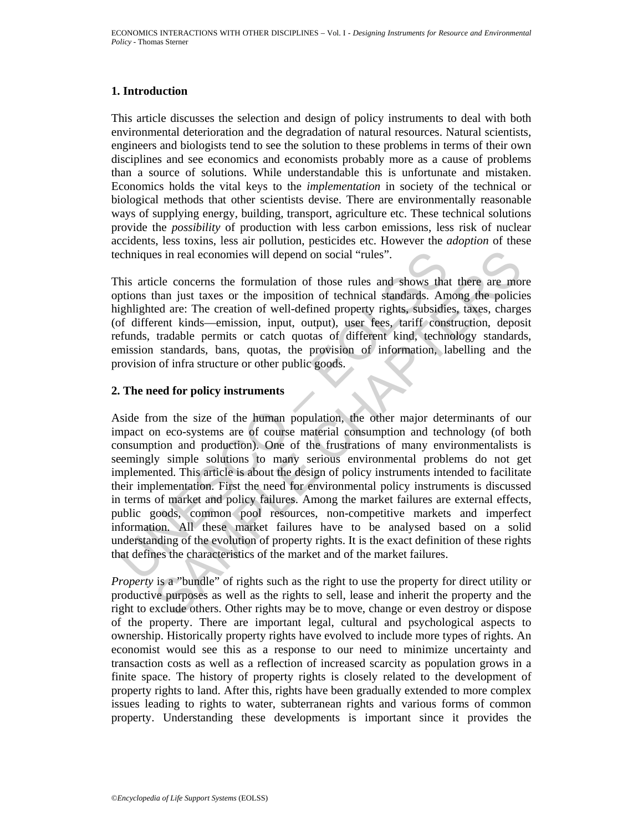### **1. Introduction**

This article discusses the selection and design of policy instruments to deal with both environmental deterioration and the degradation of natural resources. Natural scientists, engineers and biologists tend to see the solution to these problems in terms of their own disciplines and see economics and economists probably more as a cause of problems than a source of solutions. While understandable this is unfortunate and mistaken. Economics holds the vital keys to the *implementation* in society of the technical or biological methods that other scientists devise. There are environmentally reasonable ways of supplying energy, building, transport, agriculture etc. These technical solutions provide the *possibility* of production with less carbon emissions, less risk of nuclear accidents, less toxins, less air pollution, pesticides etc. However the *adoption* of these techniques in real economies will depend on social "rules".

This article concerns the formulation of those rules and shows that there are more options than just taxes or the imposition of technical standards. Among the policies highlighted are: The creation of well-defined property rights, subsidies, taxes, charges (of different kinds—emission, input, output), user fees, tariff construction, deposit refunds, tradable permits or catch quotas of different kind, technology standards, emission standards, bans, quotas, the provision of information, labelling and the provision of infra structure or other public goods.

### **2. The need for policy instruments**

chniques in real economies will depend on social "rules".<br>
his article concerns the formulation of those rules and shows that<br>
phighted are: The creation of well-defined property rights, subsidie<br>
f different kinds—emissio is in real economies will depend on social "rules".<br>
cle concerns the formulation of those rules and shows that there are mothan just taxes or the imposition of technical standards. Among the policie<br>
ded are: The creation Aside from the size of the human population, the other major determinants of our impact on eco-systems are of course material consumption and technology (of both consumption and production). One of the frustrations of many environmentalists is seemingly simple solutions to many serious environmental problems do not get implemented. This article is about the design of policy instruments intended to facilitate their implementation. First the need for environmental policy instruments is discussed in terms of market and policy failures. Among the market failures are external effects, public goods, common pool resources, non-competitive markets and imperfect information. All these market failures have to be analysed based on a solid understanding of the evolution of property rights. It is the exact definition of these rights that defines the characteristics of the market and of the market failures.

*Property* is a "bundle" of rights such as the right to use the property for direct utility or productive purposes as well as the rights to sell, lease and inherit the property and the right to exclude others. Other rights may be to move, change or even destroy or dispose of the property. There are important legal, cultural and psychological aspects to ownership. Historically property rights have evolved to include more types of rights. An economist would see this as a response to our need to minimize uncertainty and transaction costs as well as a reflection of increased scarcity as population grows in a finite space. The history of property rights is closely related to the development of property rights to land. After this, rights have been gradually extended to more complex issues leading to rights to water, subterranean rights and various forms of common property. Understanding these developments is important since it provides the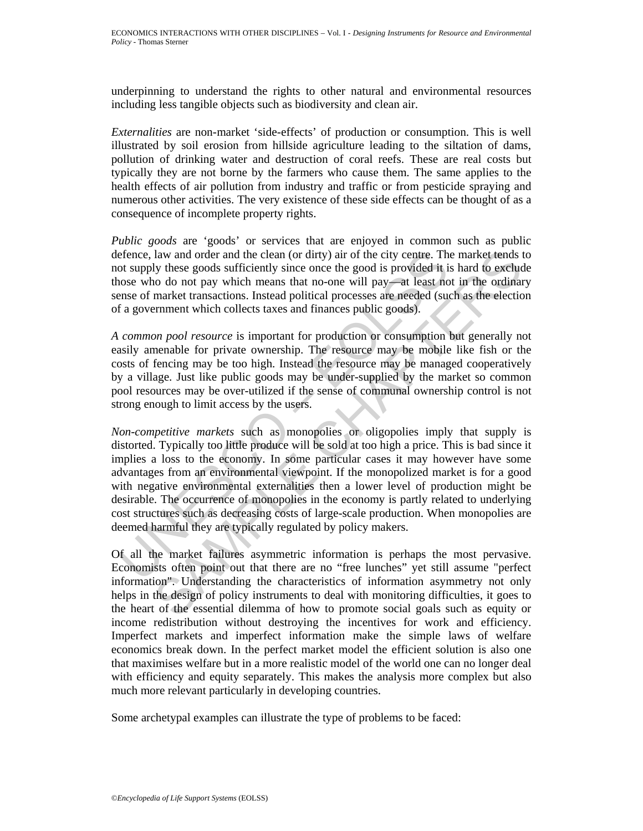underpinning to understand the rights to other natural and environmental resources including less tangible objects such as biodiversity and clean air.

*Externalities* are non-market 'side-effects' of production or consumption. This is well illustrated by soil erosion from hillside agriculture leading to the siltation of dams, pollution of drinking water and destruction of coral reefs. These are real costs but typically they are not borne by the farmers who cause them. The same applies to the health effects of air pollution from industry and traffic or from pesticide spraying and numerous other activities. The very existence of these side effects can be thought of as a consequence of incomplete property rights.

*Public goods* are 'goods' or services that are enjoyed in common such as public defence, law and order and the clean (or dirty) air of the city centre. The market tends to not supply these goods sufficiently since once the good is provided it is hard to exclude those who do not pay which means that no-one will pay—at least not in the ordinary sense of market transactions. Instead political processes are needed (such as the election of a government which collects taxes and finances public goods).

*A common pool resource* is important for production or consumption but generally not easily amenable for private ownership. The resource may be mobile like fish or the costs of fencing may be too high. Instead the resource may be managed cooperatively by a village. Just like public goods may be under-supplied by the market so common pool resources may be over-utilized if the sense of communal ownership control is not strong enough to limit access by the users.

efence, law and order and the clean (or dirty) air of the city centre. The stock supply these goods sufficiently since once the good is provided it is onces who do not pay which means that no-one will pay  $\sim$  at least no law and order and the clean (or dirty) air of the city centre. The market tends to<br>juy these goods sufficiently since once the good is provided it is hard to section<br>o do not pay which means that no-one will pay  $\rightarrow$  at le *Non-competitive markets* such as monopolies or oligopolies imply that supply is distorted. Typically too little produce will be sold at too high a price. This is bad since it implies a loss to the economy. In some particular cases it may however have some advantages from an environmental viewpoint. If the monopolized market is for a good with negative environmental externalities then a lower level of production might be desirable. The occurrence of monopolies in the economy is partly related to underlying cost structures such as decreasing costs of large-scale production. When monopolies are deemed harmful they are typically regulated by policy makers.

Of all the market failures asymmetric information is perhaps the most pervasive. Economists often point out that there are no "free lunches" yet still assume "perfect information". Understanding the characteristics of information asymmetry not only helps in the design of policy instruments to deal with monitoring difficulties, it goes to the heart of the essential dilemma of how to promote social goals such as equity or income redistribution without destroying the incentives for work and efficiency. Imperfect markets and imperfect information make the simple laws of welfare economics break down. In the perfect market model the efficient solution is also one that maximises welfare but in a more realistic model of the world one can no longer deal with efficiency and equity separately. This makes the analysis more complex but also much more relevant particularly in developing countries.

Some archetypal examples can illustrate the type of problems to be faced: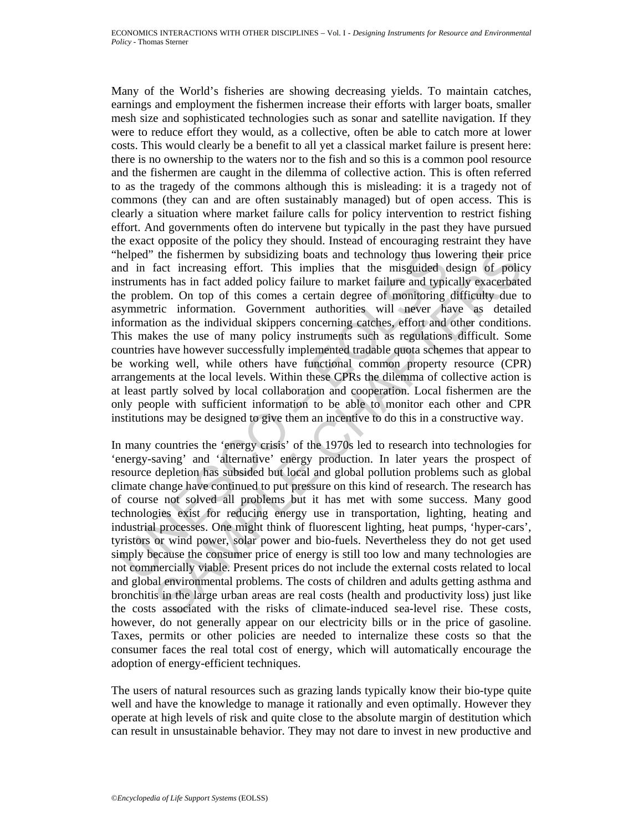helped" the fishermen by subsidizing boats and technology thus low<br>helped" the fishermen by subsidizing boats and technology thus low<br>naturenths has in fact added policy failure to market failure and typical<br>net perpolem. Many of the World's fisheries are showing decreasing yields. To maintain catches, earnings and employment the fishermen increase their efforts with larger boats, smaller mesh size and sophisticated technologies such as sonar and satellite navigation. If they were to reduce effort they would, as a collective, often be able to catch more at lower costs. This would clearly be a benefit to all yet a classical market failure is present here: there is no ownership to the waters nor to the fish and so this is a common pool resource and the fishermen are caught in the dilemma of collective action. This is often referred to as the tragedy of the commons although this is misleading: it is a tragedy not of commons (they can and are often sustainably managed) but of open access. This is clearly a situation where market failure calls for policy intervention to restrict fishing effort. And governments often do intervene but typically in the past they have pursued the exact opposite of the policy they should. Instead of encouraging restraint they have "helped" the fishermen by subsidizing boats and technology thus lowering their price and in fact increasing effort. This implies that the misguided design of policy instruments has in fact added policy failure to market failure and typically exacerbated the problem. On top of this comes a certain degree of monitoring difficulty due to asymmetric information. Government authorities will never have as detailed information as the individual skippers concerning catches, effort and other conditions. This makes the use of many policy instruments such as regulations difficult. Some countries have however successfully implemented tradable quota schemes that appear to be working well, while others have functional common property resource (CPR) arrangements at the local levels. Within these CPRs the dilemma of collective action is at least partly solved by local collaboration and cooperation. Local fishermen are the only people with sufficient information to be able to monitor each other and CPR institutions may be designed to give them an incentive to do this in a constructive way.

the fishermen by subsidizing boats and technology thus lowering their prict that increasing effort. This implies that the misguided design of policies that the missuided colicy falleles. On top of this comes a certain degr In many countries the 'energy crisis' of the 1970s led to research into technologies for 'energy-saving' and 'alternative' energy production. In later years the prospect of resource depletion has subsided but local and global pollution problems such as global climate change have continued to put pressure on this kind of research. The research has of course not solved all problems but it has met with some success. Many good technologies exist for reducing energy use in transportation, lighting, heating and industrial processes. One might think of fluorescent lighting, heat pumps, 'hyper-cars', tyristors or wind power, solar power and bio-fuels. Nevertheless they do not get used simply because the consumer price of energy is still too low and many technologies are not commercially viable. Present prices do not include the external costs related to local and global environmental problems. The costs of children and adults getting asthma and bronchitis in the large urban areas are real costs (health and productivity loss) just like the costs associated with the risks of climate-induced sea-level rise. These costs, however, do not generally appear on our electricity bills or in the price of gasoline. Taxes, permits or other policies are needed to internalize these costs so that the consumer faces the real total cost of energy, which will automatically encourage the adoption of energy-efficient techniques.

The users of natural resources such as grazing lands typically know their bio-type quite well and have the knowledge to manage it rationally and even optimally. However they operate at high levels of risk and quite close to the absolute margin of destitution which can result in unsustainable behavior. They may not dare to invest in new productive and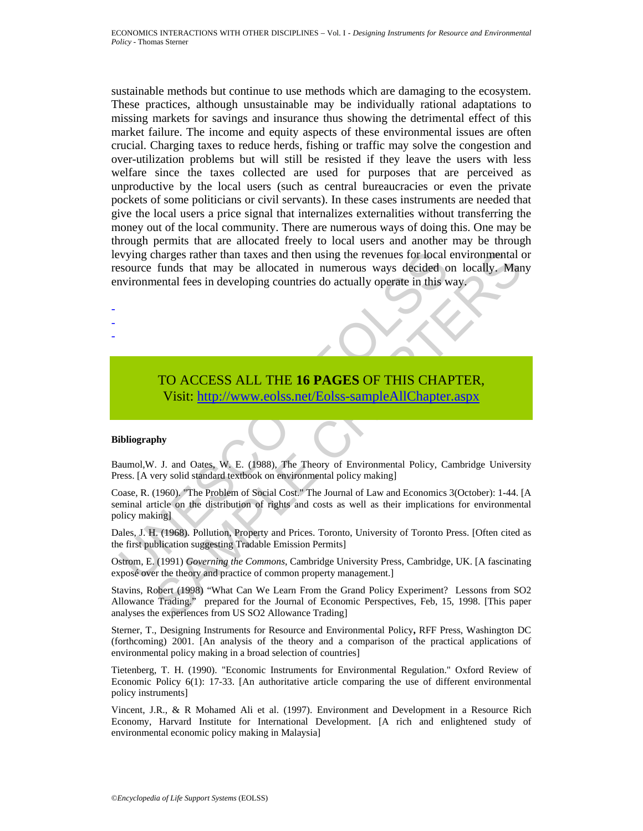vying charges rather than taxes and then using the revenues for local<br>source funds that may be allocated in numerous ways decided o<br>nvironmental fees in developing countries do actually operate in this w<br>informental fees i tharges rather than taxes and then using the revenues for local environmental c<br>funds that may be allocated in numerous ways decided on locally, Man<br>ental fees in developing countries do actually operate in this way.<br>TO AC sustainable methods but continue to use methods which are damaging to the ecosystem. These practices, although unsustainable may be individually rational adaptations to missing markets for savings and insurance thus showing the detrimental effect of this market failure. The income and equity aspects of these environmental issues are often crucial. Charging taxes to reduce herds, fishing or traffic may solve the congestion and over-utilization problems but will still be resisted if they leave the users with less welfare since the taxes collected are used for purposes that are perceived as unproductive by the local users (such as central bureaucracies or even the private pockets of some politicians or civil servants). In these cases instruments are needed that give the local users a price signal that internalizes externalities without transferring the money out of the local community. There are numerous ways of doing this. One may be through permits that are allocated freely to local users and another may be through levying charges rather than taxes and then using the revenues for local environmental or resource funds that may be allocated in numerous ways decided on locally. Many environmental fees in developing countries do actually operate in this way.

# TO ACCESS ALL THE **16 PAGES** OF THIS CHAPTER, Visit: http://www.eolss.net/Eolss-sampleAllChapter.aspx

#### **Bibliography**

- - -

Baumol,W. J. and Oates, W. E. (1988), The Theory of Environmental Policy, Cambridge University Press. [A very solid standard textbook on environmental policy making]

Coase, R. (1960). "The Problem of Social Cost." The Journal of Law and Economics 3(October): 1-44. [A seminal article on the distribution of rights and costs as well as their implications for environmental policy making]

Dales, J. H. (1968). Pollution, Property and Prices. Toronto, University of Toronto Press. [Often cited as the first publication suggesting Tradable Emission Permits]

Ostrom, E. (1991) *Governing the Commons*, Cambridge University Press, Cambridge, UK. [A fascinating exposé over the theory and practice of common property management.]

Stavins, Robert (1998) "What Can We Learn From the Grand Policy Experiment? Lessons from SO2 Allowance Trading." prepared for the Journal of Economic Perspectives, Feb, 15, 1998. [This paper analyses the experiences from US SO2 Allowance Trading]

Sterner, T., Designing Instruments for Resource and Environmental Policy**,** RFF Press, Washington DC (forthcoming) 2001. [An analysis of the theory and a comparison of the practical applications of environmental policy making in a broad selection of countries]

Tietenberg, T. H. (1990). "Economic Instruments for Environmental Regulation." Oxford Review of Economic Policy 6(1): 17-33. [An authoritative article comparing the use of different environmental policy instruments]

Vincent, J.R., & R Mohamed Ali et al. (1997). Environment and Development in a Resource Rich Economy, Harvard Institute for International Development. [A rich and enlightened study of environmental economic policy making in Malaysia]